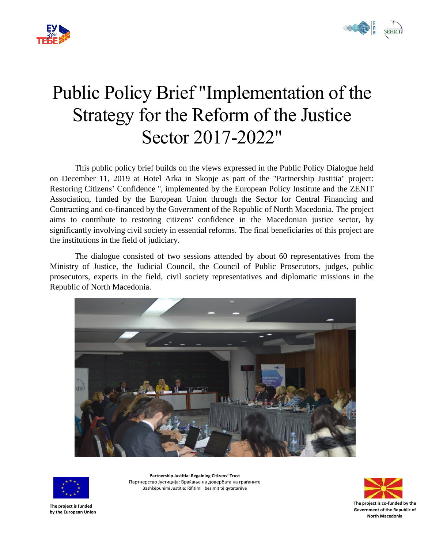



# Public Policy Brief "Implementation of the Strategy for the Reform of the Justice Sector 2017-2022"

This public policy brief builds on the views expressed in the Public Policy Dialogue held on December 11, 2019 at Hotel Arka in Skopje as part of the "Partnership Justitia" project: Restoring Citizens' Confidence '', implemented by the European Policy Institute and the ZENIT Association, funded by the European Union through the Sector for Central Financing and Contracting and co-financed by the Government of the Republic of North Macedonia. The project aims to contribute to restoring citizens' confidence in the Macedonian justice sector, by significantly involving civil society in essential reforms. The final beneficiaries of this project are the institutions in the field of judiciary.

The dialogue consisted of two sessions attended by about 60 representatives from the Ministry of Justice, the Judicial Council, the Council of Public Prosecutors, judges, public prosecutors, experts in the field, civil society representatives and diplomatic missions in the Republic of North Macedonia.





**Partnership Justitia: Regaining Citizens' Trust** Партнерство Јустиција: Враќање на довербата на граѓаните Bashkëpunimi Justitia: Rifitimi i besimit të qytetarëve



**The project is funded by the European Union**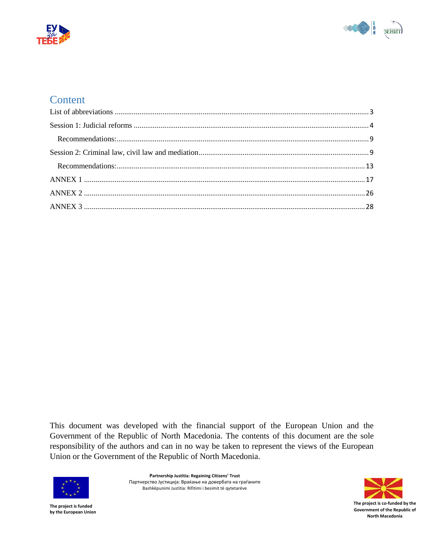



# **Content**

This document was developed with the financial support of the European Union and the Government of the Republic of North Macedonia. The contents of this document are the sole responsibility of the authors and can in no way be taken to represent the views of the European Union or the Government of the Republic of North Macedonia.



**Partnership Justitia: Regaining Citizens' Trust** Партнерство Јустиција: Враќање на довербата на граѓаните Bashkëpunimi Justitia: Rifitimi i besimit të qytetarëve

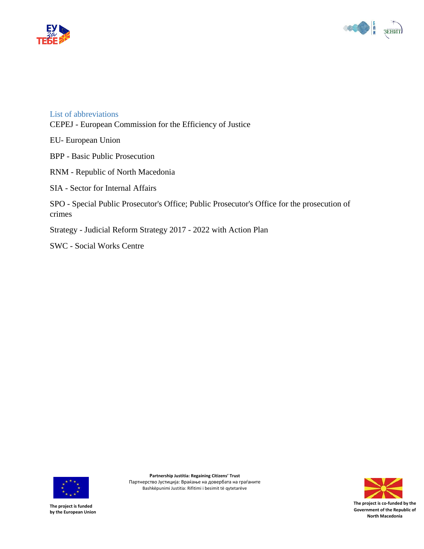



#### <span id="page-2-0"></span>List of abbreviations

CEPEJ - European Commission for the Efficiency of Justice

EU- European Union

BPP - Basic Public Prosecution

RNM - Republic of North Macedonia

SIA - Sector for Internal Affairs

SPO - Special Public Prosecutor's Office; Public Prosecutor's Office for the prosecution of crimes

Strategy - Judicial Reform Strategy 2017 - 2022 with Action Plan

SWC - Social Works Centre



**Partnership Justitia: Regaining Citizens' Trust** Партнерство Јустиција: Враќање на довербата на граѓаните Bashkëpunimi Justitia: Rifitimi i besimit të qytetarëve

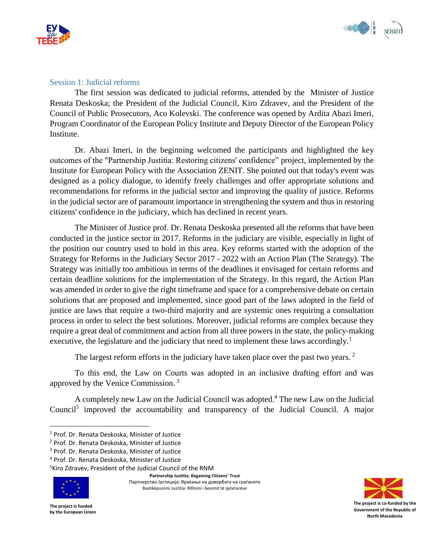



#### <span id="page-3-0"></span>Session 1: Judicial reforms

The first session was dedicated to judicial reforms, attended by the Minister of Justice Renata Deskoska; the President of the Judicial Council, Kiro Zdravev, and the President of the Council of Public Prosecutors, Aco Kolevski. The conference was opened by Ardita Abazi Imeri, Program Coordinator of the European Policy Institute and Deputy Director of the European Policy Institute.

Dr. Abazi Imeri, in the beginning welcomed the participants and highlighted the key outcomes of the "Partnership Justitia: Restoring citizens' confidence" project, implemented by the Institute for European Policy with the Association ZENIT. She pointed out that today's event was designed as a policy dialogue, to identify freely challenges and offer appropriate solutions and recommendations for reforms in the judicial sector and improving the quality of justice. Reforms in the judicial sector are of paramount importance in strengthening the system and thus in restoring citizens' confidence in the judiciary, which has declined in recent years.

The Minister of Justice prof. Dr. Renata Deskoska presented all the reforms that have been conducted in the justice sector in 2017. Reforms in the judiciary are visible, especially in light of the position our country used to hold in this area. Key reforms started with the adoption of the Strategy for Reforms in the Judiciary Sector 2017 - 2022 with an Action Plan (The Strategy). The Strategy was initially too ambitious in terms of the deadlines it envisaged for certain reforms and certain deadline solutions for the implementation of the Strategy. In this regard, the Action Plan was amended in order to give the right timeframe and space for a comprehensive debate on certain solutions that are proposed and implemented, since good part of the laws adopted in the field of justice are laws that require a two-third majority and are systemic ones requiring a consultation process in order to select the best solutions. Moreover, judicial reforms are complex because they require a great deal of commitment and action from all three powers in the state, the policy-making executive, the legislature and the judiciary that need to implement these laws accordingly.<sup>1</sup>

The largest reform efforts in the judiciary have taken place over the past two vears.  $2^{\circ}$ 

To this end, the Law on Courts was adopted in an inclusive drafting effort and was approved by the Venice Commission. <sup>3</sup>

A completely new Law on the Judicial Council was adopted.<sup>4</sup> The new Law on the Judicial Council<sup>5</sup> improved the accountability and transparency of the Judicial Council. A major

<sup>5</sup>Kiro Zdravev, President of the Judicial Council of the RNM



 $\overline{\phantom{a}}$ 

**Partnership Justitia: Regaining Citizens' Trust** Партнерство Јустиција: Враќање на довербата на граѓаните Bashkëpunimi Justitia: Rifitimi i besimit të qytetarëve



<sup>1</sup> Prof. Dr. Renata Deskoska, Minister of Justice

<sup>2</sup> Prof. Dr. Renata Deskoska, Minister of Justice

<sup>3</sup> Prof. Dr. Renata Deskoska, Minister of Justice

<sup>4</sup> Prof. Dr. Renata Deskoska, Minister of Justice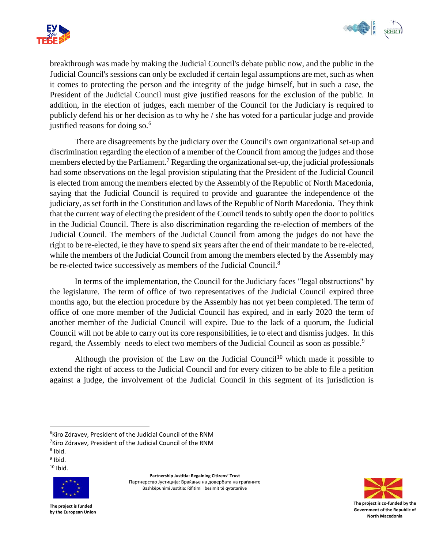



breakthrough was made by making the Judicial Council's debate public now, and the public in the Judicial Council's sessions can only be excluded if certain legal assumptions are met, such as when it comes to protecting the person and the integrity of the judge himself, but in such a case, the President of the Judicial Council must give justified reasons for the exclusion of the public. In addition, in the election of judges, each member of the Council for the Judiciary is required to publicly defend his or her decision as to why he / she has voted for a particular judge and provide justified reasons for doing so.<sup>6</sup>

There are disagreements by the judiciary over the Council's own organizational set-up and discrimination regarding the election of a member of the Council from among the judges and those members elected by the Parliament.<sup>7</sup> Regarding the organizational set-up, the judicial professionals had some observations on the legal provision stipulating that the President of the Judicial Council is elected from among the members elected by the Assembly of the Republic of North Macedonia, saying that the Judicial Council is required to provide and guarantee the independence of the judiciary, as set forth in the Constitution and laws of the Republic of North Macedonia. They think that the current way of electing the president of the Council tends to subtly open the door to politics in the Judicial Council. There is also discrimination regarding the re-election of members of the Judicial Council. The members of the Judicial Council from among the judges do not have the right to be re-elected, ie they have to spend six years after the end of their mandate to be re-elected, while the members of the Judicial Council from among the members elected by the Assembly may be re-elected twice successively as members of the Judicial Council.<sup>8</sup>

In terms of the implementation, the Council for the Judiciary faces "legal obstructions" by the legislature. The term of office of two representatives of the Judicial Council expired three months ago, but the election procedure by the Assembly has not yet been completed. The term of office of one more member of the Judicial Council has expired, and in early 2020 the term of another member of the Judicial Council will expire. Due to the lack of a quorum, the Judicial Council will not be able to carry out its core responsibilities, ie to elect and dismiss judges. In this regard, the Assembly needs to elect two members of the Judicial Council as soon as possible.<sup>9</sup>

Although the provision of the Law on the Judicial Council<sup>10</sup> which made it possible to extend the right of access to the Judicial Council and for every citizen to be able to file a petition against a judge, the involvement of the Judicial Council in this segment of its jurisdiction is

 $\overline{\phantom{a}}$ 

 $10$  Ibid.



**Partnership Justitia: Regaining Citizens' Trust** Партнерство Јустиција: Враќање на довербата на граѓаните Bashkëpunimi Justitia: Rifitimi i besimit të qytetarëve



<sup>&</sup>lt;sup>6</sup>Kiro Zdravev, President of the Judicial Council of the RNM <sup>7</sup>Kiro Zdravev, President of the Judicial Council of the RNM

<sup>8</sup> Ibid.

<sup>&</sup>lt;sup>9</sup> Ibid.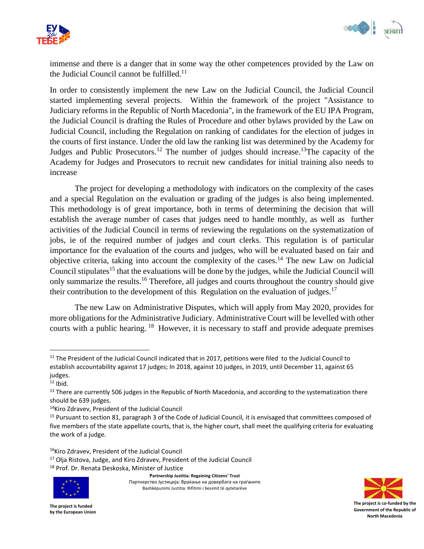



immense and there is a danger that in some way the other competences provided by the Law on the Judicial Council cannot be fulfilled. $11$ 

In order to consistently implement the new Law on the Judicial Council, the Judicial Council started implementing several projects. Within the framework of the project "Assistance to Judiciary reforms in the Republic of North Macedonia", in the framework of the EU IPA Program, the Judicial Council is drafting the Rules of Procedure and other bylaws provided by the Law on Judicial Council, including the Regulation on ranking of candidates for the election of judges in the courts of first instance. Under the old law the ranking list was determined by the Academy for Judges and Public Prosecutors.<sup>12</sup> The number of judges should increase.<sup>13</sup>The capacity of the Academy for Judges and Prosecutors to recruit new candidates for initial training also needs to increase

The project for developing a methodology with indicators on the complexity of the cases and a special Regulation on the evaluation or grading of the judges is also being implemented. This methodology is of great importance, both in terms of determining the decision that will establish the average number of cases that judges need to handle monthly, as well as further activities of the Judicial Council in terms of reviewing the regulations on the systematization of jobs, ie of the required number of judges and court clerks. This regulation is of particular importance for the evaluation of the courts and judges, who will be evaluated based on fair and objective criteria, taking into account the complexity of the cases.<sup>14</sup> The new Law on Judicial Council stipulates<sup>15</sup> that the evaluations will be done by the judges, while the Judicial Council will only summarize the results.<sup>16</sup> Therefore, all judges and courts throughout the country should give their contribution to the development of this Regulation on the evaluation of judges.<sup>17</sup>

The new Law on Administrative Disputes, which will apply from May 2020, provides for more obligations for the Administrative Judiciary. Administrative Court will be levelled with other courts with a public hearing. <sup>18</sup> However, it is necessary to staff and provide adequate premises

 $\overline{\phantom{a}}$ 

<sup>18</sup> Prof. Dr. Renata Deskoska, Minister of Justice



**Partnership Justitia: Regaining Citizens' Trust** Партнерство Јустиција: Враќање на довербата на граѓаните Bashkëpunimi Justitia: Rifitimi i besimit të qytetarëve



<sup>&</sup>lt;sup>11</sup> The President of the Judicial Council indicated that in 2017, petitions were filed to the Judicial Council to establish accountability against 17 judges; In 2018, against 10 judges, in 2019, until December 11, against 65 judges.

 $12$  Ibid.

<sup>&</sup>lt;sup>13</sup> There are currently 506 judges in the Republic of North Macedonia, and according to the systematization there should be 639 judges.

<sup>14</sup>Kiro Zdravev, President of the Judicial Council

<sup>15</sup> Pursuant to section 81, paragraph 3 of the Code of Judicial Council, it is envisaged that committees composed of five members of the state appellate courts, that is, the higher court, shall meet the qualifying criteria for evaluating the work of a judge.

<sup>16</sup>Kiro Zdravev, President of the Judicial Council

<sup>17</sup> Olja Ristova, Judge, and Kiro Zdravev, President of the Judicial Council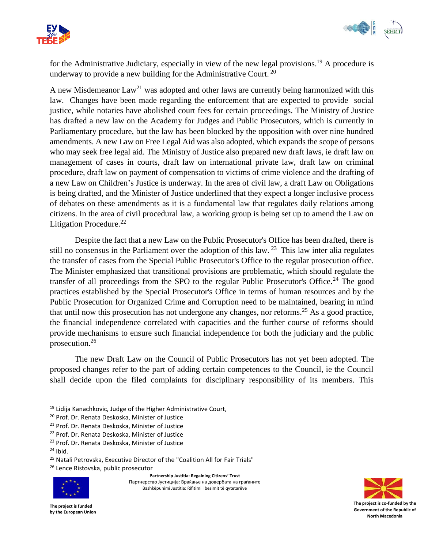



for the Administrative Judiciary, especially in view of the new legal provisions. <sup>19</sup> A procedure is underway to provide a new building for the Administrative Court. <sup>20</sup>

A new Misdemeanor  $Law^{21}$  was adopted and other laws are currently being harmonized with this law. Changes have been made regarding the enforcement that are expected to provide social justice, while notaries have abolished court fees for certain proceedings. The Ministry of Justice has drafted a new law on the Academy for Judges and Public Prosecutors, which is currently in Parliamentary procedure, but the law has been blocked by the opposition with over nine hundred amendments. A new Law on Free Legal Aid was also adopted, which expands the scope of persons who may seek free legal aid. The Ministry of Justice also prepared new draft laws, ie draft law on management of cases in courts, draft law on international private law, draft law on criminal procedure, draft law on payment of compensation to victims of crime violence and the drafting of a new Law on Children's Justice is underway. In the area of civil law, a draft Law on Obligations is being drafted, and the Minister of Justice underlined that they expect a longer inclusive process of debates on these amendments as it is a fundamental law that regulates daily relations among citizens. In the area of civil procedural law, a working group is being set up to amend the Law on Litigation Procedure. $^{22}$ 

Despite the fact that a new Law on the Public Prosecutor's Office has been drafted, there is still no consensus in the Parliament over the adoption of this law.  $2<sup>3</sup>$  This law inter alia regulates the transfer of cases from the Special Public Prosecutor's Office to the regular prosecution office. The Minister emphasized that transitional provisions are problematic, which should regulate the transfer of all proceedings from the SPO to the regular Public Prosecutor's Office.<sup>24</sup> The good practices established by the Special Prosecutor's Office in terms of human resources and by the Public Prosecution for Organized Crime and Corruption need to be maintained, bearing in mind that until now this prosecution has not undergone any changes, nor reforms.<sup>25</sup> As a good practice, the financial independence correlated with capacities and the further course of reforms should provide mechanisms to ensure such financial independence for both the judiciary and the public prosecution.<sup>26</sup>

The new Draft Law on the Council of Public Prosecutors has not yet been adopted. The proposed changes refer to the part of adding certain competences to the Council, ie the Council shall decide upon the filed complaints for disciplinary responsibility of its members. This

- <sup>22</sup> Prof. Dr. Renata Deskoska, Minister of Justice
- <sup>23</sup> Prof. Dr. Renata Deskoska, Minister of Justice

 $\overline{a}$ 

<sup>26</sup> Lence Ristovska, public prosecutor



**Partnership Justitia: Regaining Citizens' Trust** Партнерство Јустиција: Враќање на довербата на граѓаните Bashkëpunimi Justitia: Rifitimi i besimit të qytetarëve



<sup>19</sup> Lidija Kanachkovic, Judge of the Higher Administrative Court,

<sup>20</sup> Prof. Dr. Renata Deskoska, Minister of Justice

<sup>&</sup>lt;sup>21</sup> Prof. Dr. Renata Deskoska, Minister of Justice

 $24$  Ibid.

<sup>&</sup>lt;sup>25</sup> Natali Petrovska, Executive Director of the "Coalition All for Fair Trials"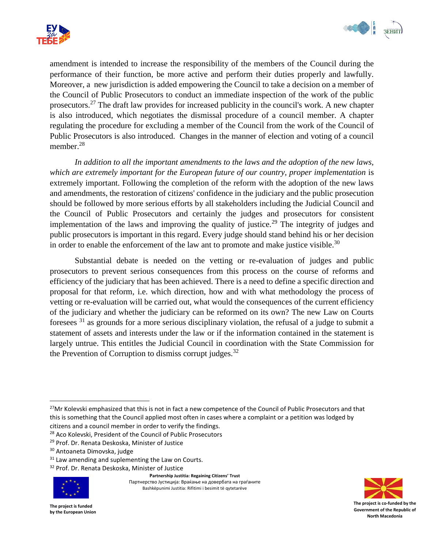



amendment is intended to increase the responsibility of the members of the Council during the performance of their function, be more active and perform their duties properly and lawfully. Moreover, a new jurisdiction is added empowering the Council to take a decision on a member of the Council of Public Prosecutors to conduct an immediate inspection of the work of the public prosecutors.<sup>27</sup> The draft law provides for increased publicity in the council's work. A new chapter is also introduced, which negotiates the dismissal procedure of a council member. A chapter regulating the procedure for excluding a member of the Council from the work of the Council of Public Prosecutors is also introduced. Changes in the manner of election and voting of a council member.<sup>28</sup>

*In addition to all the important amendments to the laws and the adoption of the new laws, which are extremely important for the European future of our country, proper implementation* is extremely important. Following the completion of the reform with the adoption of the new laws and amendments, the restoration of citizens' confidence in the judiciary and the public prosecution should be followed by more serious efforts by all stakeholders including the Judicial Council and the Council of Public Prosecutors and certainly the judges and prosecutors for consistent implementation of the laws and improving the quality of justice.<sup>29</sup> The integrity of judges and public prosecutors is important in this regard. Every judge should stand behind his or her decision in order to enable the enforcement of the law ant to promote and make justice visible.<sup>30</sup>

Substantial debate is needed on the vetting or re-evaluation of judges and public prosecutors to prevent serious consequences from this process on the course of reforms and efficiency of the judiciary that has been achieved. There is a need to define a specific direction and proposal for that reform, i.e. which direction, how and with what methodology the process of vetting or re-evaluation will be carried out, what would the consequences of the current efficiency of the judiciary and whether the judiciary can be reformed on its own? The new Law on Courts foresees <sup>31</sup> as grounds for a more serious disciplinary violation, the refusal of a judge to submit a statement of assets and interests under the law or if the information contained in the statement is largely untrue. This entitles the Judicial Council in coordination with the State Commission for the Prevention of Corruption to dismiss corrupt judges. $32$ 

<sup>32</sup> Prof. Dr. Renata Deskoska, Minister of Justice



 $\overline{a}$ 

**Partnership Justitia: Regaining Citizens' Trust** Партнерство Јустиција: Враќање на довербата на граѓаните Bashkëpunimi Justitia: Rifitimi i besimit të qytetarëve



<sup>&</sup>lt;sup>27</sup>Mr Kolevski emphasized that this is not in fact a new competence of the Council of Public Prosecutors and that this is something that the Council applied most often in cases where a complaint or a petition was lodged by citizens and a council member in order to verify the findings.

<sup>&</sup>lt;sup>28</sup> Aco Kolevski, President of the Council of Public Prosecutors

<sup>&</sup>lt;sup>29</sup> Prof. Dr. Renata Deskoska, Minister of Justice

<sup>30</sup> Antoaneta Dimovska, judge

<sup>&</sup>lt;sup>31</sup> Law amending and suplementing the Law on Courts.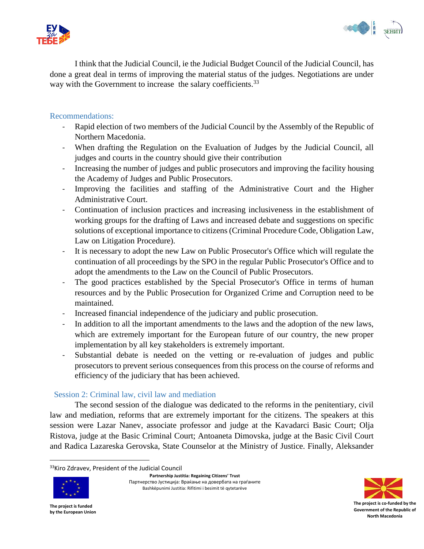



I think that the Judicial Council, ie the Judicial Budget Council of the Judicial Council, has done a great deal in terms of improving the material status of the judges. Negotiations are under way with the Government to increase the salary coefficients.<sup>33</sup>

## <span id="page-8-0"></span>Recommendations:

- Rapid election of two members of the Judicial Council by the Assembly of the Republic of Northern Macedonia.
- When drafting the Regulation on the Evaluation of Judges by the Judicial Council, all judges and courts in the country should give their contribution
- Increasing the number of judges and public prosecutors and improving the facility housing the Academy of Judges and Public Prosecutors.
- Improving the facilities and staffing of the Administrative Court and the Higher Administrative Court.
- Continuation of inclusion practices and increasing inclusiveness in the establishment of working groups for the drafting of Laws and increased debate and suggestions on specific solutions of exceptional importance to citizens (Criminal Procedure Code, Obligation Law, Law on Litigation Procedure).
- It is necessary to adopt the new Law on Public Prosecutor's Office which will regulate the continuation of all proceedings by the SPO in the regular Public Prosecutor's Office and to adopt the amendments to the Law on the Council of Public Prosecutors.
- The good practices established by the Special Prosecutor's Office in terms of human resources and by the Public Prosecution for Organized Crime and Corruption need to be maintained.
- Increased financial independence of the judiciary and public prosecution.
- In addition to all the important amendments to the laws and the adoption of the new laws, which are extremely important for the European future of our country, the new proper implementation by all key stakeholders is extremely important.
- Substantial debate is needed on the vetting or re-evaluation of judges and public prosecutors to prevent serious consequences from this process on the course of reforms and efficiency of the judiciary that has been achieved.

# <span id="page-8-1"></span>Session 2: Criminal law, civil law and mediation

The second session of the dialogue was dedicated to the reforms in the penitentiary, civil law and mediation, reforms that are extremely important for the citizens. The speakers at this session were Lazar Nanev, associate professor and judge at the Kavadarci Basic Court; Olja Ristova, judge at the Basic Criminal Court; Antoaneta Dimovska, judge at the Basic Civil Court and Radica Lazareska Gerovska, State Counselor at the Ministry of Justice. Finally, Aleksander

<sup>33</sup>Kiro Zdravev, President of the Judicial Council



 $\overline{\phantom{a}}$ 

**Partnership Justitia: Regaining Citizens' Trust** Партнерство Јустиција: Враќање на довербата на граѓаните Bashkëpunimi Justitia: Rifitimi i besimit të qytetarëve

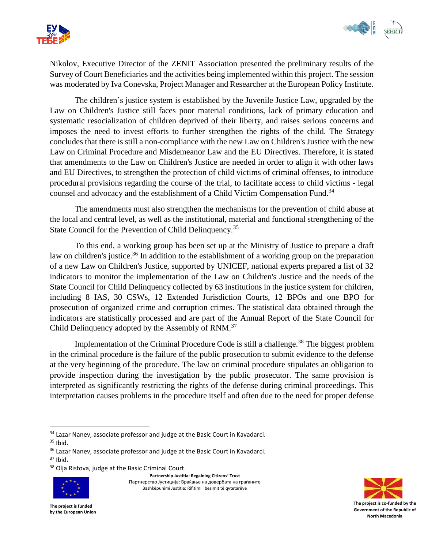



Nikolov, Executive Director of the ZENIT Association presented the preliminary results of the Survey of Court Beneficiaries and the activities being implemented within this project. The session was moderated by Iva Conevska, Project Manager and Researcher at the European Policy Institute.

The children's justice system is established by the Juvenile Justice Law, upgraded by the Law on Children's Justice still faces poor material conditions, lack of primary education and systematic resocialization of children deprived of their liberty, and raises serious concerns and imposes the need to invest efforts to further strengthen the rights of the child. The Strategy concludes that there is still a non-compliance with the new Law on Children's Justice with the new Law on Criminal Procedure and Misdemeanor Law and the EU Directives. Therefore, it is stated that amendments to the Law on Children's Justice are needed in order to align it with other laws and EU Directives, to strengthen the protection of child victims of criminal offenses, to introduce procedural provisions regarding the course of the trial, to facilitate access to child victims - legal counsel and advocacy and the establishment of a Child Victim Compensation Fund.<sup>34</sup>

The amendments must also strengthen the mechanisms for the prevention of child abuse at the local and central level, as well as the institutional, material and functional strengthening of the State Council for the Prevention of Child Delinquency.<sup>35</sup>

To this end, a working group has been set up at the Ministry of Justice to prepare a draft law on children's justice.<sup>36</sup> In addition to the establishment of a working group on the preparation of a new Law on Children's Justice, supported by UNICEF, national experts prepared a list of 32 indicators to monitor the implementation of the Law on Children's Justice and the needs of the State Council for Child Delinquency collected by 63 institutions in the justice system for children, including 8 IAS, 30 CSWs, 12 Extended Jurisdiction Courts, 12 BPOs and one BPO for prosecution of organized crime and corruption crimes. The statistical data obtained through the indicators are statistically processed and are part of the Annual Report of the State Council for Child Delinquency adopted by the Assembly of RNM.<sup>37</sup>

Implementation of the Criminal Procedure Code is still a challenge.<sup>38</sup> The biggest problem in the criminal procedure is the failure of the public prosecution to submit evidence to the defense at the very beginning of the procedure. The law on criminal procedure stipulates an obligation to provide inspection during the investigation by the public prosecutor. The same provision is interpreted as significantly restricting the rights of the defense during criminal proceedings. This interpretation causes problems in the procedure itself and often due to the need for proper defense

 $\overline{\phantom{a}}$ 

<sup>&</sup>lt;sup>38</sup> Olja Ristova, judge at the Basic Criminal Court.



**Partnership Justitia: Regaining Citizens' Trust** Партнерство Јустиција: Враќање на довербата на граѓаните Bashkëpunimi Justitia: Rifitimi i besimit të qytetarëve



<sup>&</sup>lt;sup>34</sup> Lazar Nanev, associate professor and judge at the Basic Court in Kavadarci.

 $35$  Ibid.

<sup>&</sup>lt;sup>36</sup> Lazar Nanev, associate professor and judge at the Basic Court in Kavadarci.  $37$  Ibid.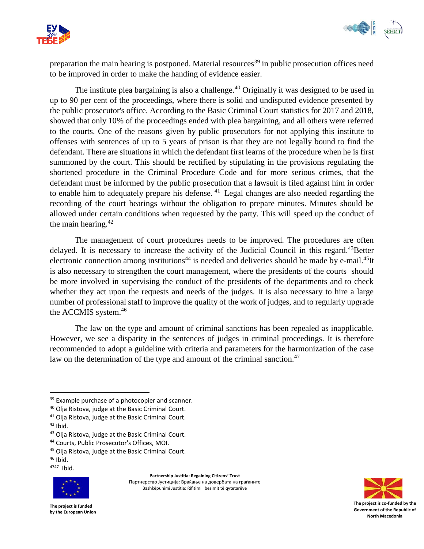



preparation the main hearing is postponed. Material resources<sup>39</sup> in public prosecution offices need to be improved in order to make the handing of evidence easier.

The institute plea bargaining is also a challenge.<sup>40</sup> Originally it was designed to be used in up to 90 per cent of the proceedings, where there is solid and undisputed evidence presented by the public prosecutor's office. According to the Basic Criminal Court statistics for 2017 and 2018, showed that only 10% of the proceedings ended with plea bargaining, and all others were referred to the courts. One of the reasons given by public prosecutors for not applying this institute to offenses with sentences of up to 5 years of prison is that they are not legally bound to find the defendant. There are situations in which the defendant first learns of the procedure when he is first summoned by the court. This should be rectified by stipulating in the provisions regulating the shortened procedure in the Criminal Procedure Code and for more serious crimes, that the defendant must be informed by the public prosecution that a lawsuit is filed against him in order to enable him to adequately prepare his defense.<sup>41</sup> Legal changes are also needed regarding the recording of the court hearings without the obligation to prepare minutes. Minutes should be allowed under certain conditions when requested by the party. This will speed up the conduct of the main hearing. $42$ 

The management of court procedures needs to be improved. The procedures are often delayed. It is necessary to increase the activity of the Judicial Council in this regard.<sup>43</sup>Better electronic connection among institutions<sup>44</sup> is needed and deliveries should be made by e-mail.<sup>45</sup>It is also necessary to strengthen the court management, where the presidents of the courts should be more involved in supervising the conduct of the presidents of the departments and to check whether they act upon the requests and needs of the judges. It is also necessary to hire a large number of professional staff to improve the quality of the work of judges, and to regularly upgrade the ACCMIS system.<sup>46</sup>

The law on the type and amount of criminal sanctions has been repealed as inapplicable. However, we see a disparity in the sentences of judges in criminal proceedings. It is therefore recommended to adopt a guideline with criteria and parameters for the harmonization of the case law on the determination of the type and amount of the criminal sanction.<sup>47</sup>

 $\overline{\phantom{a}}$ 

 $46$  Ibid.

4747 Ibid.



**Partnership Justitia: Regaining Citizens' Trust** Партнерство Јустиција: Враќање на довербата на граѓаните Bashkëpunimi Justitia: Rifitimi i besimit të qytetarëve



<sup>&</sup>lt;sup>39</sup> Example purchase of a photocopier and scanner.

<sup>40</sup> Olja Ristova, judge at the Basic Criminal Court.

<sup>&</sup>lt;sup>41</sup> Olia Ristova, judge at the Basic Criminal Court.

 $42$  Ibid.

<sup>43</sup> Olja Ristova, judge at the Basic Criminal Court.

<sup>44</sup> Courts, Public Prosecutor's Offices, MOI.

<sup>45</sup> Olja Ristova, judge at the Basic Criminal Court.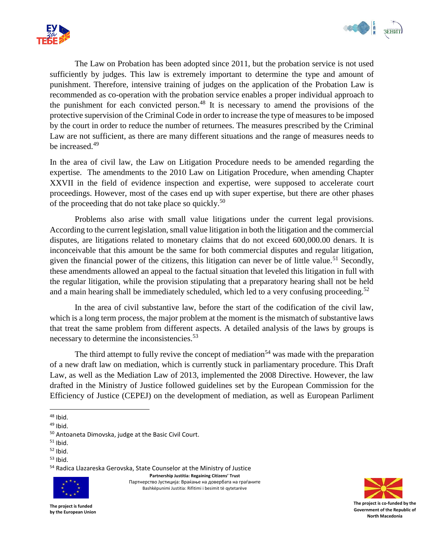



The Law on Probation has been adopted since 2011, but the probation service is not used sufficiently by judges. This law is extremely important to determine the type and amount of punishment. Therefore, intensive training of judges on the application of the Probation Law is recommended as co-operation with the probation service enables a proper individual approach to the punishment for each convicted person.<sup>48</sup> It is necessary to amend the provisions of the protective supervision of the Criminal Code in order to increase the type of measures to be imposed by the court in order to reduce the number of returnees. The measures prescribed by the Criminal Law are not sufficient, as there are many different situations and the range of measures needs to be increased.<sup>49</sup>

In the area of civil law, the Law on Litigation Procedure needs to be amended regarding the expertise. The amendments to the 2010 Law on Litigation Procedure, when amending Chapter XXVII in the field of evidence inspection and expertise, were supposed to accelerate court proceedings. However, most of the cases end up with super expertise, but there are other phases of the proceeding that do not take place so quickly.<sup>50</sup>

Problems also arise with small value litigations under the current legal provisions. According to the current legislation, small value litigation in both the litigation and the commercial disputes, are litigations related to monetary claims that do not exceed 600,000.00 denars. It is inconceivable that this amount be the same for both commercial disputes and regular litigation, given the financial power of the citizens, this litigation can never be of little value.<sup>51</sup> Secondly, these amendments allowed an appeal to the factual situation that leveled this litigation in full with the regular litigation, while the provision stipulating that a preparatory hearing shall not be held and a main hearing shall be immediately scheduled, which led to a very confusing proceeding.<sup>52</sup>

In the area of civil substantive law, before the start of the codification of the civil law, which is a long term process, the major problem at the moment is the mismatch of substantive laws that treat the same problem from different aspects. A detailed analysis of the laws by groups is necessary to determine the inconsistencies.<sup>53</sup>

The third attempt to fully revive the concept of mediation<sup>54</sup> was made with the preparation of a new draft law on mediation, which is currently stuck in parliamentary procedure. This Draft Law, as well as the Mediation Law of 2013, implemented the 2008 Directive. However, the law drafted in the Ministry of Justice followed guidelines set by the European Commission for the Efficiency of Justice (CEPEJ) on the development of mediation, as well as European Parliment

 $53$  Ibid.

<sup>54</sup> Radica Llazareska Gerovska, State Counselor at the Ministry of Justice

**Partnership Justitia: Regaining Citizens' Trust**

Партнерство Јустиција: Враќање на довербата на граѓаните Bashkëpunimi Justitia: Rifitimi i besimit të qytetarëve



 $\overline{\phantom{a}}$  $48$  Ibid.

<sup>49</sup> Ibid.

<sup>50</sup> Antoaneta Dimovska, judge at the Basic Civil Court.

 $51$  Ibid.

 $52$  Ibid.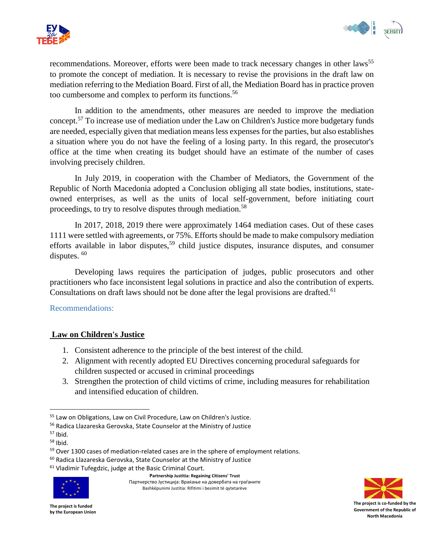



recommendations. Moreover, efforts were been made to track necessary changes in other laws<sup>55</sup> to promote the concept of mediation. It is necessary to revise the provisions in the draft law on mediation referring to the Mediation Board. First of all, the Mediation Board has in practice proven too cumbersome and complex to perform its functions.<sup>56</sup>

In addition to the amendments, other measures are needed to improve the mediation concept.<sup>57</sup> To increase use of mediation under the Law on Children's Justice more budgetary funds are needed, especially given that mediation means less expenses for the parties, but also establishes a situation where you do not have the feeling of a losing party. In this regard, the prosecutor's office at the time when creating its budget should have an estimate of the number of cases involving precisely children.

In July 2019, in cooperation with the Chamber of Mediators, the Government of the Republic of North Macedonia adopted a Conclusion obliging all state bodies, institutions, stateowned enterprises, as well as the units of local self-government, before initiating court proceedings, to try to resolve disputes through mediation.<sup>58</sup>

In 2017, 2018, 2019 there were approximately 1464 mediation cases. Out of these cases 1111 were settled with agreements, or 75%. Efforts should be made to make compulsory mediation efforts available in labor disputes,<sup>59</sup> child justice disputes, insurance disputes, and consumer disputes.  $60$ 

Developing laws requires the participation of judges, public prosecutors and other practitioners who face inconsistent legal solutions in practice and also the contribution of experts. Consultations on draft laws should not be done after the legal provisions are drafted.<sup>61</sup>

<span id="page-12-0"></span>Recommendations:

# **Law on Children's Justice**

- 1. Consistent adherence to the principle of the best interest of the child.
- 2. Alignment with recently adopted EU Directives concerning procedural safeguards for children suspected or accused in criminal proceedings
- 3. Strengthen the protection of child victims of crime, including measures for rehabilitation and intensified education of children.

 $\overline{\phantom{a}}$ 

<sup>61</sup> Vladimir Tufegdzic, judge at the Basic Criminal Court.



**Partnership Justitia: Regaining Citizens' Trust** Партнерство Јустиција: Враќање на довербата на граѓаните Bashkëpunimi Justitia: Rifitimi i besimit të qytetarëve



<sup>55</sup> Law on Obligations, Law on Civil Procedure, Law on Children's Justice.

<sup>56</sup> Radica Llazareska Gerovska, State Counselor at the Ministry of Justice

 $57$  Ibid.

 $58$  Ibid.

<sup>&</sup>lt;sup>59</sup> Over 1300 cases of mediation-related cases are in the sphere of employment relations.

<sup>60</sup> Radica Llazareska Gerovska, State Counselor at the Ministry of Justice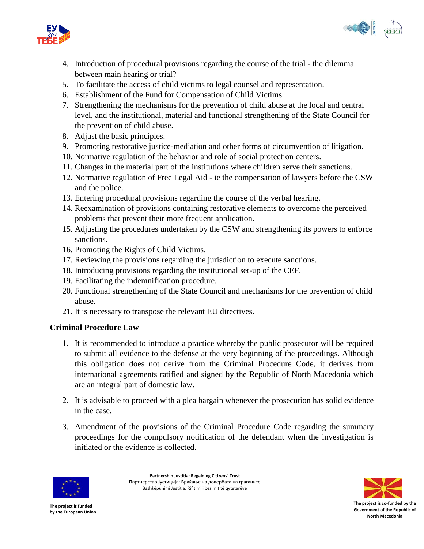



- 4. Introduction of procedural provisions regarding the course of the trial the dilemma between main hearing or trial?
- 5. To facilitate the access of child victims to legal counsel and representation.
- 6. Establishment of the Fund for Compensation of Child Victims.
- 7. Strengthening the mechanisms for the prevention of child abuse at the local and central level, and the institutional, material and functional strengthening of the State Council for the prevention of child abuse.
- 8. Adjust the basic principles.
- 9. Promoting restorative justice-mediation and other forms of circumvention of litigation.
- 10. Normative regulation of the behavior and role of social protection centers.
- 11. Changes in the material part of the institutions where children serve their sanctions.
- 12. Normative regulation of Free Legal Aid ie the compensation of lawyers before the CSW and the police.
- 13. Entering procedural provisions regarding the course of the verbal hearing.
- 14. Reexamination of provisions containing restorative elements to overcome the perceived problems that prevent their more frequent application.
- 15. Adjusting the procedures undertaken by the CSW and strengthening its powers to enforce sanctions.
- 16. Promoting the Rights of Child Victims.
- 17. Reviewing the provisions regarding the jurisdiction to execute sanctions.
- 18. Introducing provisions regarding the institutional set-up of the CEF.
- 19. Facilitating the indemnification procedure.
- 20. Functional strengthening of the State Council and mechanisms for the prevention of child abuse.
- 21. It is necessary to transpose the relevant EU directives.

# **Criminal Procedure Law**

- 1. It is recommended to introduce a practice whereby the public prosecutor will be required to submit all evidence to the defense at the very beginning of the proceedings. Although this obligation does not derive from the Criminal Procedure Code, it derives from international agreements ratified and signed by the Republic of North Macedonia which are an integral part of domestic law.
- 2. It is advisable to proceed with a plea bargain whenever the prosecution has solid evidence in the case.
- 3. Amendment of the provisions of the Criminal Procedure Code regarding the summary proceedings for the compulsory notification of the defendant when the investigation is initiated or the evidence is collected.



**Partnership Justitia: Regaining Citizens' Trust** Партнерство Јустиција: Враќање на довербата на граѓаните Bashkëpunimi Justitia: Rifitimi i besimit të qytetarëve

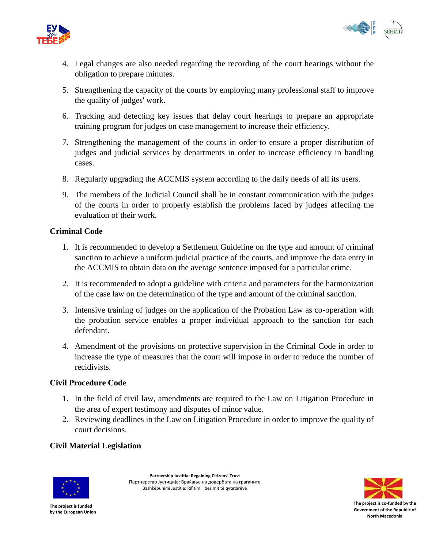



- 4. Legal changes are also needed regarding the recording of the court hearings without the obligation to prepare minutes.
- 5. Strengthening the capacity of the courts by employing many professional staff to improve the quality of judges' work.
- 6. Tracking and detecting key issues that delay court hearings to prepare an appropriate training program for judges on case management to increase their efficiency.
- 7. Strengthening the management of the courts in order to ensure a proper distribution of judges and judicial services by departments in order to increase efficiency in handling cases.
- 8. Regularly upgrading the ACCMIS system according to the daily needs of all its users.
- 9. The members of the Judicial Council shall be in constant communication with the judges of the courts in order to properly establish the problems faced by judges affecting the evaluation of their work.

# **Criminal Code**

- 1. It is recommended to develop a Settlement Guideline on the type and amount of criminal sanction to achieve a uniform judicial practice of the courts, and improve the data entry in the ACCMIS to obtain data on the average sentence imposed for a particular crime.
- 2. It is recommended to adopt a guideline with criteria and parameters for the harmonization of the case law on the determination of the type and amount of the criminal sanction.
- 3. Intensive training of judges on the application of the Probation Law as co-operation with the probation service enables a proper individual approach to the sanction for each defendant.
- 4. Amendment of the provisions on protective supervision in the Criminal Code in order to increase the type of measures that the court will impose in order to reduce the number of recidivists.

# **Civil Procedure Code**

- 1. In the field of civil law, amendments are required to the Law on Litigation Procedure in the area of expert testimony and disputes of minor value.
- 2. Reviewing deadlines in the Law on Litigation Procedure in order to improve the quality of court decisions.

# **Civil Material Legislation**



**Partnership Justitia: Regaining Citizens' Trust** Партнерство Јустиција: Враќање на довербата на граѓаните Bashkëpunimi Justitia: Rifitimi i besimit të qytetarëve

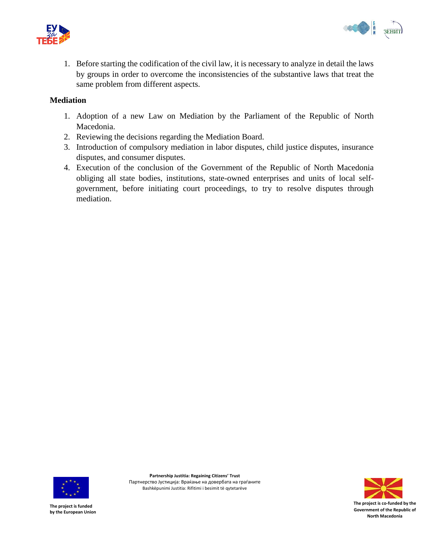



1. Before starting the codification of the civil law, it is necessary to analyze in detail the laws by groups in order to overcome the inconsistencies of the substantive laws that treat the same problem from different aspects.

### **Mediation**

- 1. Adoption of a new Law on Mediation by the Parliament of the Republic of North Macedonia.
- 2. Reviewing the decisions regarding the Mediation Board.
- 3. Introduction of compulsory mediation in labor disputes, child justice disputes, insurance disputes, and consumer disputes.
- 4. Execution of the conclusion of the Government of the Republic of North Macedonia obliging all state bodies, institutions, state-owned enterprises and units of local selfgovernment, before initiating court proceedings, to try to resolve disputes through mediation.



**Partnership Justitia: Regaining Citizens' Trust** Партнерство Јустиција: Враќање на довербата на граѓаните Bashkëpunimi Justitia: Rifitimi i besimit të qytetarëve

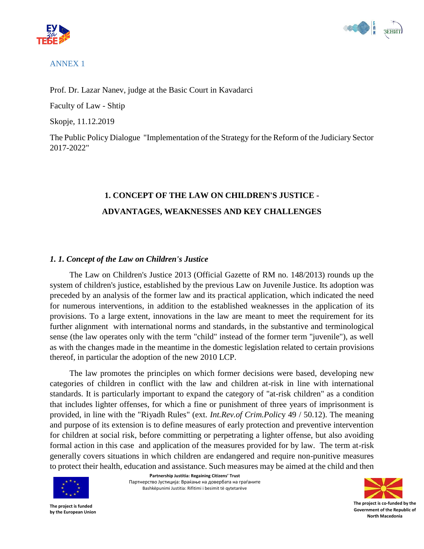



## <span id="page-16-0"></span>ANNEX 1

Prof. Dr. Lazar Nanev, judge at the Basic Court in Kavadarci

Faculty of Law - Shtip

Skopje, 11.12.2019

The Public Policy Dialogue "Implementation of the Strategy for the Reform of the Judiciary Sector 2017-2022"

# **1. CONCEPT OF THE LAW ON CHILDREN'S JUSTICE - ADVANTAGES, WEAKNESSES AND KEY CHALLENGES**

# *1. 1. Concept of the Law on Children's Justice*

The Law on Children's Justice 2013 (Official Gazette of RM no. 148/2013) rounds up the system of children's justice, established by the previous Law on Juvenile Justice. Its adoption was preceded by an analysis of the former law and its practical application, which indicated the need for numerous interventions, in addition to the established weaknesses in the application of its provisions. To a large extent, innovations in the law are meant to meet the requirement for its further alignment with international norms and standards, in the substantive and terminological sense (the law operates only with the term "child" instead of the former term "juvenile"), as well as with the changes made in the meantime in the domestic legislation related to certain provisions thereof, in particular the adoption of the new 2010 LCP.

The law promotes the principles on which former decisions were based, developing new categories of children in conflict with the law and children at-risk in line with international standards. It is particularly important to expand the category of "at-risk children" as a condition that includes lighter offenses, for which a fine or punishment of three years of imprisonment is provided, in line with the "Riyadh Rules" (ext. *Int.Rev.of Crim.Polic*y 49 / 50.12). The meaning and purpose of its extension is to define measures of early protection and preventive intervention for children at social risk, before committing or perpetrating a lighter offense, but also avoiding formal action in this case and application of the measures provided for by law. The term at-risk generally covers situations in which children are endangered and require non-punitive measures to protect their health, education and assistance. Such measures may be aimed at the child and then



**Partnership Justitia: Regaining Citizens' Trust** Партнерство Јустиција: Враќање на довербата на граѓаните Bashkëpunimi Justitia: Rifitimi i besimit të qytetarëve

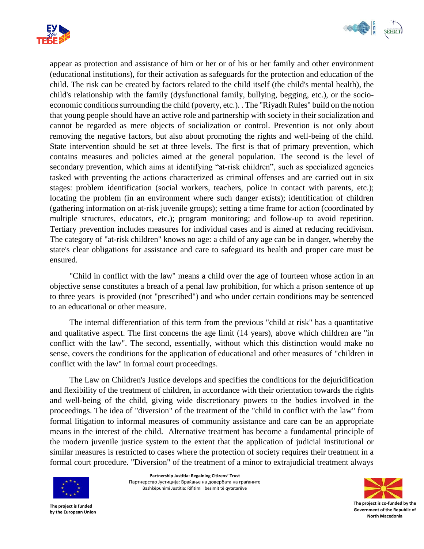



appear as protection and assistance of him or her or of his or her family and other environment (educational institutions), for their activation as safeguards for the protection and education of the child. The risk can be created by factors related to the child itself (the child's mental health), the child's relationship with the family (dysfunctional family, bullying, begging, etc.), or the socioeconomic conditions surrounding the child (poverty, etc.). . The "Riyadh Rules" build on the notion that young people should have an active role and partnership with society in their socialization and cannot be regarded as mere objects of socialization or control. Prevention is not only about removing the negative factors, but also about promoting the rights and well-being of the child. State intervention should be set at three levels. The first is that of primary prevention, which contains measures and policies aimed at the general population. The second is the level of secondary prevention, which aims at identifying "at-risk children", such as specialized agencies tasked with preventing the actions characterized as criminal offenses and are carried out in six stages: problem identification (social workers, teachers, police in contact with parents, etc.); locating the problem (in an environment where such danger exists); identification of children (gathering information on at-risk juvenile groups); setting a time frame for action (coordinated by multiple structures, educators, etc.); program monitoring; and follow-up to avoid repetition. Tertiary prevention includes measures for individual cases and is aimed at reducing recidivism. The category of "at-risk children" knows no age: a child of any age can be in danger, whereby the state's clear obligations for assistance and care to safeguard its health and proper care must be ensured.

"Child in conflict with the law" means a child over the age of fourteen whose action in an objective sense constitutes a breach of a penal law prohibition, for which a prison sentence of up to three years is provided (not "prescribed") and who under certain conditions may be sentenced to an educational or other measure.

The internal differentiation of this term from the previous "child at risk" has a quantitative and qualitative aspect. The first concerns the age limit (14 years), above which children are "in conflict with the law". The second, essentially, without which this distinction would make no sense, covers the conditions for the application of educational and other measures of "children in conflict with the law" in formal court proceedings.

The Law on Children's Justice develops and specifies the conditions for the dejuridification and flexibility of the treatment of children, in accordance with their orientation towards the rights and well-being of the child, giving wide discretionary powers to the bodies involved in the proceedings. The idea of "diversion" of the treatment of the "child in conflict with the law" from formal litigation to informal measures of community assistance and care can be an appropriate means in the interest of the child. Alternative treatment has become a fundamental principle of the modern juvenile justice system to the extent that the application of judicial institutional or similar measures is restricted to cases where the protection of society requires their treatment in a formal court procedure. "Diversion" of the treatment of a minor to extrajudicial treatment always



**Partnership Justitia: Regaining Citizens' Trust** Партнерство Јустиција: Враќање на довербата на граѓаните Bashkëpunimi Justitia: Rifitimi i besimit të qytetarëve

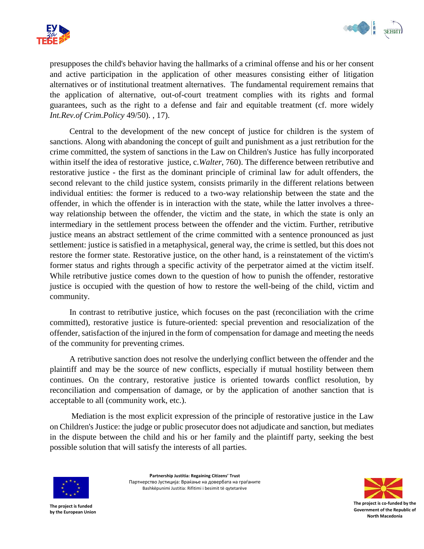



presupposes the child's behavior having the hallmarks of a criminal offense and his or her consent and active participation in the application of other measures consisting either of litigation alternatives or of institutional treatment alternatives. The fundamental requirement remains that the application of alternative, out-of-court treatment complies with its rights and formal guarantees, such as the right to a defense and fair and equitable treatment (cf. more widely *Int.Rev.of Crim.Policy* 49/50). , 17).

Central to the development of the new concept of justice for children is the system of sanctions. Along with abandoning the concept of guilt and punishment as a just retribution for the crime committed, the system of sanctions in the Law on Children's Justice has fully incorporated within itself the idea of restorative justice, c.*Walter*, 760). The difference between retributive and restorative justice - the first as the dominant principle of criminal law for adult offenders, the second relevant to the child justice system, consists primarily in the different relations between individual entities: the former is reduced to a two-way relationship between the state and the offender, in which the offender is in interaction with the state, while the latter involves a threeway relationship between the offender, the victim and the state, in which the state is only an intermediary in the settlement process between the offender and the victim. Further, retributive justice means an abstract settlement of the crime committed with a sentence pronounced as just settlement: justice is satisfied in a metaphysical, general way, the crime is settled, but this does not restore the former state. Restorative justice, on the other hand, is a reinstatement of the victim's former status and rights through a specific activity of the perpetrator aimed at the victim itself. While retributive justice comes down to the question of how to punish the offender, restorative justice is occupied with the question of how to restore the well-being of the child, victim and community.

In contrast to retributive justice, which focuses on the past (reconciliation with the crime committed), restorative justice is future-oriented: special prevention and resocialization of the offender, satisfaction of the injured in the form of compensation for damage and meeting the needs of the community for preventing crimes.

A retributive sanction does not resolve the underlying conflict between the offender and the plaintiff and may be the source of new conflicts, especially if mutual hostility between them continues. On the contrary, restorative justice is oriented towards conflict resolution, by reconciliation and compensation of damage, or by the application of another sanction that is acceptable to all (community work, etc.).

Mediation is the most explicit expression of the principle of restorative justice in the Law on Children's Justice: the judge or public prosecutor does not adjudicate and sanction, but mediates in the dispute between the child and his or her family and the plaintiff party, seeking the best possible solution that will satisfy the interests of all parties.



**Partnership Justitia: Regaining Citizens' Trust** Партнерство Јустиција: Враќање на довербата на граѓаните Bashkëpunimi Justitia: Rifitimi i besimit të qytetarëve

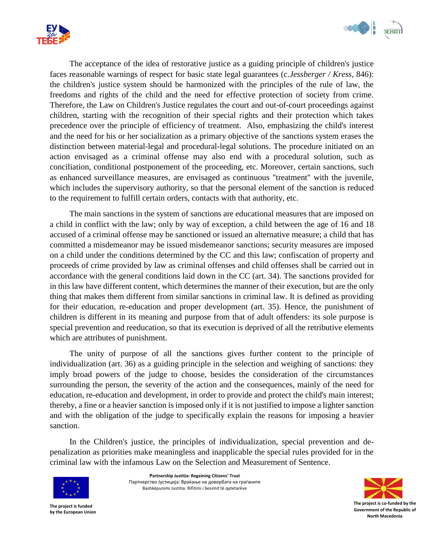



The acceptance of the idea of restorative justice as a guiding principle of children's justice faces reasonable warnings of respect for basic state legal guarantees (c.*Jessberger / Kress*, 846): the children's justice system should be harmonized with the principles of the rule of law, the freedoms and rights of the child and the need for effective protection of society from crime. Therefore, the Law on Children's Justice regulates the court and out-of-court proceedings against children, starting with the recognition of their special rights and their protection which takes precedence over the principle of efficiency of treatment. Also, emphasizing the child's interest and the need for his or her socialization as a primary objective of the sanctions system erases the distinction between material-legal and procedural-legal solutions. The procedure initiated on an action envisaged as a criminal offense may also end with a procedural solution, such as conciliation, conditional postponement of the proceeding, etc. Moreover, certain sanctions, such as enhanced surveillance measures, are envisaged as continuous "treatment" with the juvenile, which includes the supervisory authority, so that the personal element of the sanction is reduced to the requirement to fulfill certain orders, contacts with that authority, etc.

The main sanctions in the system of sanctions are educational measures that are imposed on a child in conflict with the law; only by way of exception, a child between the age of 16 and 18 accused of a criminal offense may be sanctioned or issued an alternative measure; a child that has committed a misdemeanor may be issued misdemeanor sanctions; security measures are imposed on a child under the conditions determined by the CC and this law; confiscation of property and proceeds of crime provided by law as criminal offenses and child offenses shall be carried out in accordance with the general conditions laid down in the CC (art. 34). The sanctions provided for in this law have different content, which determines the manner of their execution, but are the only thing that makes them different from similar sanctions in criminal law. It is defined as providing for their education, re-education and proper development (art. 35). Hence, the punishment of children is different in its meaning and purpose from that of adult offenders: its sole purpose is special prevention and reeducation, so that its execution is deprived of all the retributive elements which are attributes of punishment.

The unity of purpose of all the sanctions gives further content to the principle of individualization (art. 36) as a guiding principle in the selection and weighing of sanctions: they imply broad powers of the judge to choose, besides the consideration of the circumstances surrounding the person, the severity of the action and the consequences, mainly of the need for education, re-education and development, in order to provide and protect the child's main interest; thereby, a fine or a heavier sanction is imposed only if it is not justified to impose a lighter sanction and with the obligation of the judge to specifically explain the reasons for imposing a heavier sanction.

In the Children's justice, the principles of individualization, special prevention and depenalization as priorities make meaningless and inapplicable the special rules provided for in the criminal law with the infamous Law on the Selection and Measurement of Sentence.



**Partnership Justitia: Regaining Citizens' Trust** Партнерство Јустиција: Враќање на довербата на граѓаните Bashkëpunimi Justitia: Rifitimi i besimit të qytetarëve

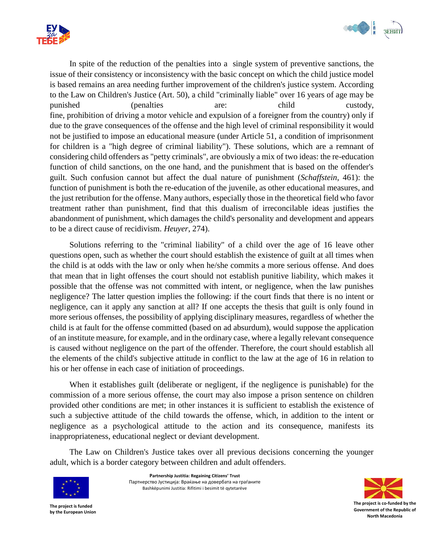



In spite of the reduction of the penalties into a single system of preventive sanctions, the issue of their consistency or inconsistency with the basic concept on which the child justice model is based remains an area needing further improvement of the children's justice system. According to the Law on Children's Justice (Art. 50), a child "criminally liable" over 16 years of age may be punished (penalties are: child custody, fine, prohibition of driving a motor vehicle and expulsion of a foreigner from the country) only if due to the grave consequences of the offense and the high level of criminal responsibility it would not be justified to impose an educational measure (under Article 51, a condition of imprisonment for children is a "high degree of criminal liability"). These solutions, which are a remnant of considering child offenders as "petty criminals", are obviously a mix of two ideas: the re-education function of child sanctions, on the one hand, and the punishment that is based on the offender's guilt. Such confusion cannot but affect the dual nature of punishment (*Schaffstein*, 461): the function of punishment is both the re-education of the juvenile, as other educational measures, and the just retribution for the offense. Many authors, especially those in the theoretical field who favor treatment rather than punishment, find that this dualism of irreconcilable ideas justifies the abandonment of punishment, which damages the child's personality and development and appears to be a direct cause of recidivism. *Heuyer*, 274).

Solutions referring to the "criminal liability" of a child over the age of 16 leave other questions open, such as whether the court should establish the existence of guilt at all times when the child is at odds with the law or only when he/she commits a more serious offense. And does that mean that in light offenses the court should not establish punitive liability, which makes it possible that the offense was not committed with intent, or negligence, when the law punishes negligence? The latter question implies the following: if the court finds that there is no intent or negligence, can it apply any sanction at all? If one accepts the thesis that guilt is only found in more serious offenses, the possibility of applying disciplinary measures, regardless of whether the child is at fault for the offense committed (based on ad absurdum), would suppose the application of an institute measure, for example, and in the ordinary case, where a legally relevant consequence is caused without negligence on the part of the offender. Therefore, the court should establish all the elements of the child's subjective attitude in conflict to the law at the age of 16 in relation to his or her offense in each case of initiation of proceedings.

When it establishes guilt (deliberate or negligent, if the negligence is punishable) for the commission of a more serious offense, the court may also impose a prison sentence on children provided other conditions are met; in other instances it is sufficient to establish the existence of such a subjective attitude of the child towards the offense, which, in addition to the intent or negligence as a psychological attitude to the action and its consequence, manifests its inappropriateness, educational neglect or deviant development.

The Law on Children's Justice takes over all previous decisions concerning the younger adult, which is a border category between children and adult offenders.



**Partnership Justitia: Regaining Citizens' Trust** Партнерство Јустиција: Враќање на довербата на граѓаните Bashkëpunimi Justitia: Rifitimi i besimit të qytetarëve

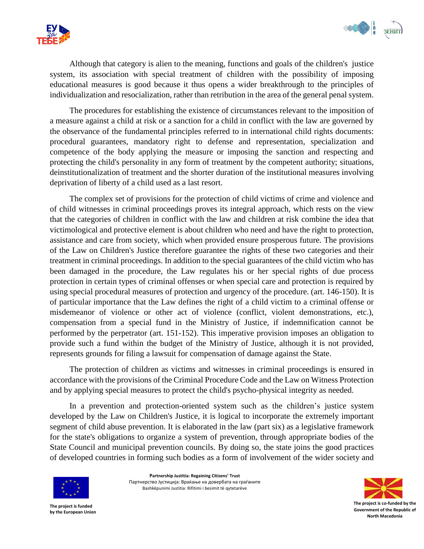



Although that category is alien to the meaning, functions and goals of the children's justice system, its association with special treatment of children with the possibility of imposing educational measures is good because it thus opens a wider breakthrough to the principles of individualization and resocialization, rather than retribution in the area of the general penal system.

The procedures for establishing the existence of circumstances relevant to the imposition of a measure against a child at risk or a sanction for a child in conflict with the law are governed by the observance of the fundamental principles referred to in international child rights documents: procedural guarantees, mandatory right to defense and representation, specialization and competence of the body applying the measure or imposing the sanction and respecting and protecting the child's personality in any form of treatment by the competent authority; situations, deinstitutionalization of treatment and the shorter duration of the institutional measures involving deprivation of liberty of a child used as a last resort.

The complex set of provisions for the protection of child victims of crime and violence and of child witnesses in criminal proceedings proves its integral approach, which rests on the view that the categories of children in conflict with the law and children at risk combine the idea that victimological and protective element is about children who need and have the right to protection, assistance and care from society, which when provided ensure prosperous future. The provisions of the Law on Children's Justice therefore guarantee the rights of these two categories and their treatment in criminal proceedings. In addition to the special guarantees of the child victim who has been damaged in the procedure, the Law regulates his or her special rights of due process protection in certain types of criminal offenses or when special care and protection is required by using special procedural measures of protection and urgency of the procedure. (art. 146-150). It is of particular importance that the Law defines the right of a child victim to a criminal offense or misdemeanor of violence or other act of violence (conflict, violent demonstrations, etc.), compensation from a special fund in the Ministry of Justice, if indemnification cannot be performed by the perpetrator (art. 151-152). This imperative provision imposes an obligation to provide such a fund within the budget of the Ministry of Justice, although it is not provided, represents grounds for filing a lawsuit for compensation of damage against the State.

The protection of children as victims and witnesses in criminal proceedings is ensured in accordance with the provisions of the Criminal Procedure Code and the Law on Witness Protection and by applying special measures to protect the child's psycho-physical integrity as needed.

In a prevention and protection-oriented system such as the children's justice system developed by the Law on Children's Justice, it is logical to incorporate the extremely important segment of child abuse prevention. It is elaborated in the law (part six) as a legislative framework for the state's obligations to organize a system of prevention, through appropriate bodies of the State Council and municipal prevention councils. By doing so, the state joins the good practices of developed countries in forming such bodies as a form of involvement of the wider society and



**Partnership Justitia: Regaining Citizens' Trust** Партнерство Јустиција: Враќање на довербата на граѓаните Bashkëpunimi Justitia: Rifitimi i besimit të qytetarëve

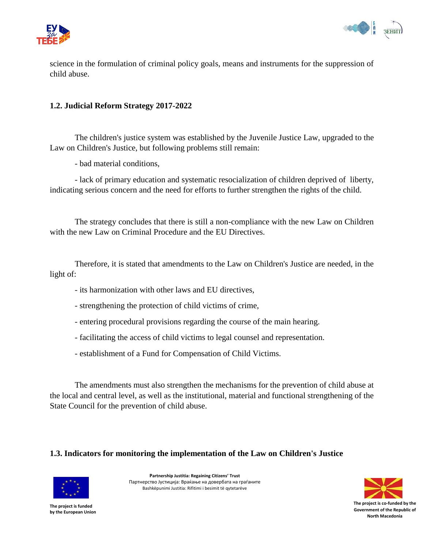



science in the formulation of criminal policy goals, means and instruments for the suppression of child abuse.

#### **1.2. Judicial Reform Strategy 2017-2022**

The children's justice system was established by the Juvenile Justice Law, upgraded to the Law on Children's Justice, but following problems still remain:

- bad material conditions,

- lack of primary education and systematic resocialization of children deprived of liberty, indicating serious concern and the need for efforts to further strengthen the rights of the child.

The strategy concludes that there is still a non-compliance with the new Law on Children with the new Law on Criminal Procedure and the EU Directives.

Therefore, it is stated that amendments to the Law on Children's Justice are needed, in the light of:

- its harmonization with other laws and EU directives,
- strengthening the protection of child victims of crime,
- entering procedural provisions regarding the course of the main hearing.
- facilitating the access of child victims to legal counsel and representation.
- establishment of a Fund for Compensation of Child Victims.

The amendments must also strengthen the mechanisms for the prevention of child abuse at the local and central level, as well as the institutional, material and functional strengthening of the State Council for the prevention of child abuse.

#### **1.3. Indicators for monitoring the implementation of the Law on Children's Justice**



**Partnership Justitia: Regaining Citizens' Trust** Партнерство Јустиција: Враќање на довербата на граѓаните Bashkëpunimi Justitia: Rifitimi i besimit të qytetarëve

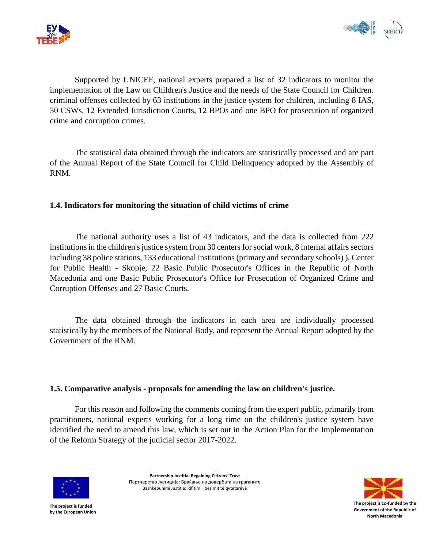



Supported by UNICEF, national experts prepared a list of 32 indicators to monitor the implementation of the Law on Children's Justice and the needs of the State Council for Children. criminal offenses collected by 63 institutions in the justice system for children, including 8 IAS, 30 CSWs, 12 Extended Jurisdiction Courts, 12 BPOs and one BPO for prosecution of organized crime and corruption crimes.

The statistical data obtained through the indicators are statistically processed and are part of the Annual Report of the State Council for Child Delinquency adopted by the Assembly of RNM.

#### **1.4. Indicators for monitoring the situation of child victims of crime**

The national authority uses a list of 43 indicators, and the data is collected from 222 institutions in the children's justice system from 30 centers for social work, 8 internal affairs sectors including 38 police stations, 133 educational institutions (primary and secondary schools) ), Center for Public Health - Skopje, 22 Basic Public Prosecutor's Offices in the Republic of North Macedonia and one Basic Public Prosecutor's Office for Prosecution of Organized Crime and Corruption Offenses and 27 Basic Courts.

The data obtained through the indicators in each area are individually processed statistically by the members of the National Body, and represent the Annual Report adopted by the Government of the RNM.

#### **1.5. Comparative analysis - proposals for amending the law on children's justice.**

For this reason and following the comments coming from the expert public, primarily from practitioners, national experts working for a long time on the children's justice system have identified the need to amend this law, which is set out in the Action Plan for the Implementation of the Reform Strategy of the judicial sector 2017-2022.



**Partnership Justitia: Regaining Citizens' Trust** Партнерство Јустиција: Враќање на довербата на граѓаните Bashkëpunimi Justitia: Rifitimi i besimit të qytetarëve

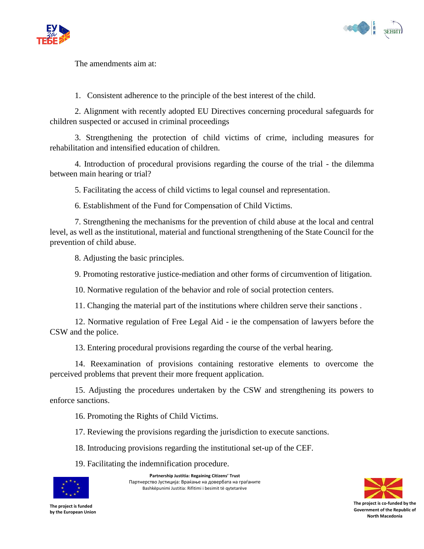



The amendments aim at:

1. Consistent adherence to the principle of the best interest of the child.

2. Alignment with recently adopted EU Directives concerning procedural safeguards for children suspected or accused in criminal proceedings

3. Strengthening the protection of child victims of crime, including measures for rehabilitation and intensified education of children.

4. Introduction of procedural provisions regarding the course of the trial - the dilemma between main hearing or trial?

5. Facilitating the access of child victims to legal counsel and representation.

6. Establishment of the Fund for Compensation of Child Victims.

7. Strengthening the mechanisms for the prevention of child abuse at the local and central level, as well as the institutional, material and functional strengthening of the State Council for the prevention of child abuse.

8. Adjusting the basic principles.

9. Promoting restorative justice-mediation and other forms of circumvention of litigation.

10. Normative regulation of the behavior and role of social protection centers.

11. Changing the material part of the institutions where children serve their sanctions .

12. Normative regulation of Free Legal Aid - ie the compensation of lawyers before the CSW and the police.

13. Entering procedural provisions regarding the course of the verbal hearing.

14. Reexamination of provisions containing restorative elements to overcome the perceived problems that prevent their more frequent application.

15. Adjusting the procedures undertaken by the CSW and strengthening its powers to enforce sanctions.

16. Promoting the Rights of Child Victims.

17. Reviewing the provisions regarding the jurisdiction to execute sanctions.

18. Introducing provisions regarding the institutional set-up of the CEF.

19. Facilitating the indemnification procedure.



**Partnership Justitia: Regaining Citizens' Trust** Партнерство Јустиција: Враќање на довербата на граѓаните Bashkëpunimi Justitia: Rifitimi i besimit të qytetarëve

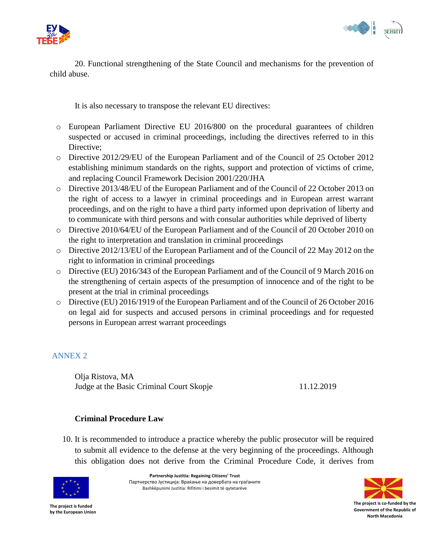



20. Functional strengthening of the State Council and mechanisms for the prevention of child abuse.

It is also necessary to transpose the relevant EU directives:

- o European Parliament Directive EU 2016/800 on the procedural guarantees of children suspected or accused in criminal proceedings, including the directives referred to in this Directive:
- o Directive 2012/29/EU of the European Parliament and of the Council of 25 October 2012 establishing minimum standards on the rights, support and protection of victims of crime, and replacing Council Framework Decision 2001/220/JHA
- o Directive 2013/48/EU of the European Parliament and of the Council of 22 October 2013 on the right of access to a lawyer in criminal proceedings and in European arrest warrant proceedings, and on the right to have a third party informed upon deprivation of liberty and to communicate with third persons and with consular authorities while deprived of liberty
- o Directive 2010/64/EU of the European Parliament and of the Council of 20 October 2010 on the right to interpretation and translation in criminal proceedings
- o Directive 2012/13/EU of the European Parliament and of the Council of 22 May 2012 on the right to information in criminal proceedings
- o Directive (EU) 2016/343 of the European Parliament and of the Council of 9 March 2016 on the strengthening of certain aspects of the presumption of innocence and of the right to be present at the trial in criminal proceedings
- o Directive (EU) 2016/1919 of the European Parliament and of the Council of 26 October 2016 on legal aid for suspects and accused persons in criminal proceedings and for requested persons in European arrest warrant proceedings

# <span id="page-25-0"></span>ANNEX 2

Olja Ristova, MA Judge at the Basic Criminal Court Skopje 11.12.2019

# **Criminal Procedure Law**

10. It is recommended to introduce a practice whereby the public prosecutor will be required to submit all evidence to the defense at the very beginning of the proceedings. Although this obligation does not derive from the Criminal Procedure Code, it derives from



**Partnership Justitia: Regaining Citizens' Trust** Партнерство Јустиција: Враќање на довербата на граѓаните Bashkëpunimi Justitia: Rifitimi i besimit të qytetarëve

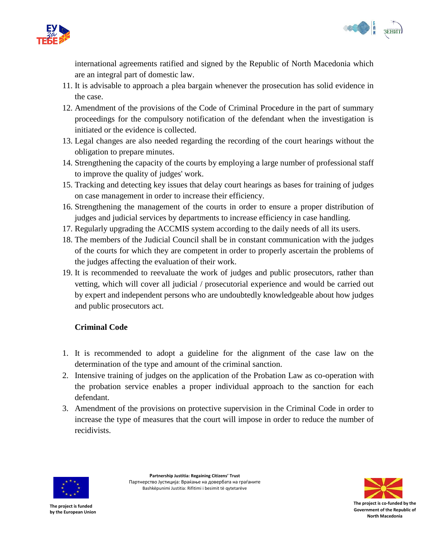



international agreements ratified and signed by the Republic of North Macedonia which are an integral part of domestic law.

- 11. It is advisable to approach a plea bargain whenever the prosecution has solid evidence in the case.
- 12. Amendment of the provisions of the Code of Criminal Procedure in the part of summary proceedings for the compulsory notification of the defendant when the investigation is initiated or the evidence is collected.
- 13. Legal changes are also needed regarding the recording of the court hearings without the obligation to prepare minutes.
- 14. Strengthening the capacity of the courts by employing a large number of professional staff to improve the quality of judges' work.
- 15. Tracking and detecting key issues that delay court hearings as bases for training of judges on case management in order to increase their efficiency.
- 16. Strengthening the management of the courts in order to ensure a proper distribution of judges and judicial services by departments to increase efficiency in case handling.
- 17. Regularly upgrading the ACCMIS system according to the daily needs of all its users.
- 18. The members of the Judicial Council shall be in constant communication with the judges of the courts for which they are competent in order to properly ascertain the problems of the judges affecting the evaluation of their work.
- 19. It is recommended to reevaluate the work of judges and public prosecutors, rather than vetting, which will cover all judicial / prosecutorial experience and would be carried out by expert and independent persons who are undoubtedly knowledgeable about how judges and public prosecutors act.

# **Criminal Code**

- 1. It is recommended to adopt a guideline for the alignment of the case law on the determination of the type and amount of the criminal sanction.
- 2. Intensive training of judges on the application of the Probation Law as co-operation with the probation service enables a proper individual approach to the sanction for each defendant.
- 3. Amendment of the provisions on protective supervision in the Criminal Code in order to increase the type of measures that the court will impose in order to reduce the number of recidivists.



**Partnership Justitia: Regaining Citizens' Trust** Партнерство Јустиција: Враќање на довербата на граѓаните Bashkëpunimi Justitia: Rifitimi i besimit të qytetarëve

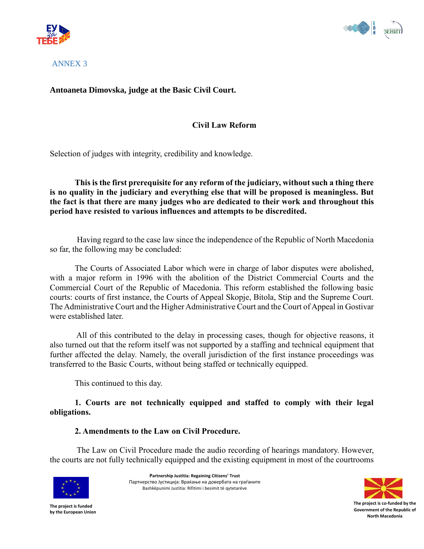



<span id="page-27-0"></span>ANNEX 3

# **Antoaneta Dimovska, judge at the Basic Civil Court.**

## **Civil Law Reform**

Selection of judges with integrity, credibility and knowledge.

**This is the first prerequisite for any reform of the judiciary, without such a thing there is no quality in the judiciary and everything else that will be proposed is meaningless. But the fact is that there are many judges who are dedicated to their work and throughout this period have resisted to various influences and attempts to be discredited.**

Having regard to the case law since the independence of the Republic of North Macedonia so far, the following may be concluded:

The Courts of Associated Labor which were in charge of labor disputes were abolished, with a major reform in 1996 with the abolition of the District Commercial Courts and the Commercial Court of the Republic of Macedonia. This reform established the following basic courts: courts of first instance, the Courts of Appeal Skopje, Bitola, Stip and the Supreme Court. The Administrative Court and the Higher Administrative Court and the Court of Appeal in Gostivar were established later.

All of this contributed to the delay in processing cases, though for objective reasons, it also turned out that the reform itself was not supported by a staffing and technical equipment that further affected the delay. Namely, the overall jurisdiction of the first instance proceedings was transferred to the Basic Courts, without being staffed or technically equipped.

This continued to this day.

**1. Courts are not technically equipped and staffed to comply with their legal obligations.**

#### **2. Amendments to the Law on Civil Procedure.**

The Law on Civil Procedure made the audio recording of hearings mandatory. However, the courts are not fully technically equipped and the existing equipment in most of the courtrooms



**Partnership Justitia: Regaining Citizens' Trust** Партнерство Јустиција: Враќање на довербата на граѓаните Bashkëpunimi Justitia: Rifitimi i besimit të qytetarëve

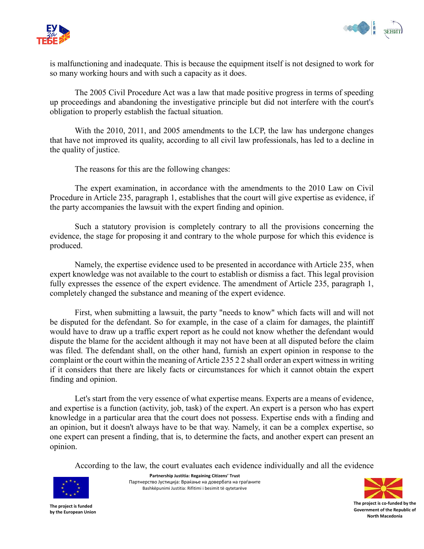



is malfunctioning and inadequate. This is because the equipment itself is not designed to work for so many working hours and with such a capacity as it does.

The 2005 Civil Procedure Act was a law that made positive progress in terms of speeding up proceedings and abandoning the investigative principle but did not interfere with the court's obligation to properly establish the factual situation.

With the 2010, 2011, and 2005 amendments to the LCP, the law has undergone changes that have not improved its quality, according to all civil law professionals, has led to a decline in the quality of justice.

The reasons for this are the following changes:

The expert examination, in accordance with the amendments to the 2010 Law on Civil Procedure in Article 235, paragraph 1, establishes that the court will give expertise as evidence, if the party accompanies the lawsuit with the expert finding and opinion.

Such a statutory provision is completely contrary to all the provisions concerning the evidence, the stage for proposing it and contrary to the whole purpose for which this evidence is produced.

Namely, the expertise evidence used to be presented in accordance with Article 235, when expert knowledge was not available to the court to establish or dismiss a fact. This legal provision fully expresses the essence of the expert evidence. The amendment of Article 235, paragraph 1, completely changed the substance and meaning of the expert evidence.

First, when submitting a lawsuit, the party "needs to know" which facts will and will not be disputed for the defendant. So for example, in the case of a claim for damages, the plaintiff would have to draw up a traffic expert report as he could not know whether the defendant would dispute the blame for the accident although it may not have been at all disputed before the claim was filed. The defendant shall, on the other hand, furnish an expert opinion in response to the complaint or the court within the meaning of Article 235 2 2 shall order an expert witness in writing if it considers that there are likely facts or circumstances for which it cannot obtain the expert finding and opinion.

Let's start from the very essence of what expertise means. Experts are a means of evidence, and expertise is a function (activity, job, task) of the expert. An expert is a person who has expert knowledge in a particular area that the court does not possess. Expertise ends with a finding and an opinion, but it doesn't always have to be that way. Namely, it can be a complex expertise, so one expert can present a finding, that is, to determine the facts, and another expert can present an opinion.

According to the law, the court evaluates each evidence individually and all the evidence



**Partnership Justitia: Regaining Citizens' Trust** Партнерство Јустиција: Враќање на довербата на граѓаните Bashkëpunimi Justitia: Rifitimi i besimit të qytetarëve

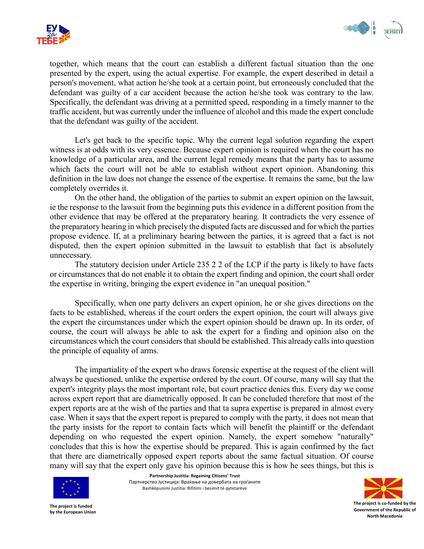



together, which means that the court can establish a different factual situation than the one presented by the expert, using the actual expertise. For example, the expert described in detail a person's movement, what action he/she took at a certain point, but erroneously concluded that the defendant was guilty of a car accident because the action he/she took was contrary to the law. Specifically, the defendant was driving at a permitted speed, responding in a timely manner to the traffic accident, but was currently under the influence of alcohol and this made the expert conclude that the defendant was guilty of the accident.

Let's get back to the specific topic. Why the current legal solution regarding the expert witness is at odds with its very essence. Because expert opinion is required when the court has no knowledge of a particular area, and the current legal remedy means that the party has to assume which facts the court will not be able to establish without expert opinion. Abandoning this definition in the law does not change the essence of the expertise. It remains the same, but the law completely overrides it.

On the other hand, the obligation of the parties to submit an expert opinion on the lawsuit, ie the response to the lawsuit from the beginning puts this evidence in a different position from the other evidence that may be offered at the preparatory hearing. It contradicts the very essence of the preparatory hearing in which precisely the disputed facts are discussed and for which the parties propose evidence. If, at a preliminary hearing between the parties, it is agreed that a fact is not disputed, then the expert opinion submitted in the lawsuit to establish that fact is absolutely unnecessary.

The statutory decision under Article 235 2 2 of the LCP if the party is likely to have facts or circumstances that do not enable it to obtain the expert finding and opinion, the court shall order the expertise in writing, bringing the expert evidence in "an unequal position."

Specifically, when one party delivers an expert opinion, he or she gives directions on the facts to be established, whereas if the court orders the expert opinion, the court will always give the expert the circumstances under which the expert opinion should be drawn up. In its order, of course, the court will always be able to ask the expert for a finding and opinion also on the circumstances which the court considers that should be established. This already calls into question the principle of equality of arms.

The impartiality of the expert who draws forensic expertise at the request of the client will always be questioned, unlike the expertise ordered by the court. Of course, many will say that the expert's integrity plays the most important role, but court practice denies this. Every day we come across expert report that are diametrically opposed. It can be concluded therefore that most of the expert reports are at the wish of the parties and that ta supra expertise is prepared in almost every case. When it says that the expert report is prepared to comply with the party, it does not mean that the party insists for the report to contain facts which will benefit the plaintiff or the defendant depending on who requested the expert opinion. Namely, the expert somehow "naturally" concludes that this is how the expertise should be prepared. This is again confirmed by the fact that there are diametrically opposed expert reports about the same factual situation. Of course many will say that the expert only gave his opinion because this is how he sees things, but this is



**Partnership Justitia: Regaining Citizens' Trust** Партнерство Јустиција: Враќање на довербата на граѓаните Bashkëpunimi Justitia: Rifitimi i besimit të qytetarëve

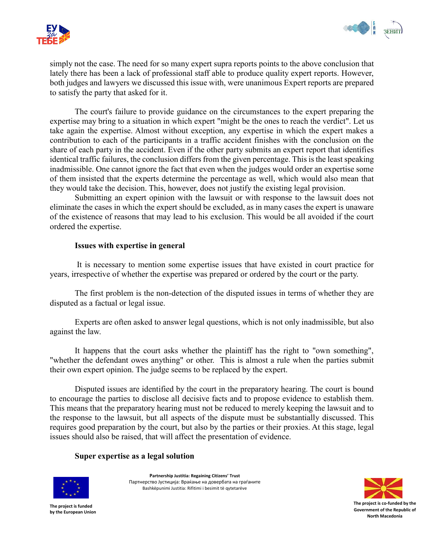



simply not the case. The need for so many expert supra reports points to the above conclusion that lately there has been a lack of professional staff able to produce quality expert reports. However, both judges and lawyers we discussed this issue with, were unanimous Expert reports are prepared to satisfy the party that asked for it.

The court's failure to provide guidance on the circumstances to the expert preparing the expertise may bring to a situation in which expert "might be the ones to reach the verdict". Let us take again the expertise. Almost without exception, any expertise in which the expert makes a contribution to each of the participants in a traffic accident finishes with the conclusion on the share of each party in the accident. Even if the other party submits an expert report that identifies identical traffic failures, the conclusion differs from the given percentage. This is the least speaking inadmissible. One cannot ignore the fact that even when the judges would order an expertise some of them insisted that the experts determine the percentage as well, which would also mean that they would take the decision. This, however, does not justify the existing legal provision.

Submitting an expert opinion with the lawsuit or with response to the lawsuit does not eliminate the cases in which the expert should be excluded, as in many cases the expert is unaware of the existence of reasons that may lead to his exclusion. This would be all avoided if the court ordered the expertise.

#### **Issues with expertise in general**

It is necessary to mention some expertise issues that have existed in court practice for years, irrespective of whether the expertise was prepared or ordered by the court or the party.

The first problem is the non-detection of the disputed issues in terms of whether they are disputed as a factual or legal issue.

Experts are often asked to answer legal questions, which is not only inadmissible, but also against the law.

It happens that the court asks whether the plaintiff has the right to "own something", "whether the defendant owes anything" or other. This is almost a rule when the parties submit their own expert opinion. The judge seems to be replaced by the expert.

Disputed issues are identified by the court in the preparatory hearing. The court is bound to encourage the parties to disclose all decisive facts and to propose evidence to establish them. This means that the preparatory hearing must not be reduced to merely keeping the lawsuit and to the response to the lawsuit, but all aspects of the dispute must be substantially discussed. This requires good preparation by the court, but also by the parties or their proxies. At this stage, legal issues should also be raised, that will affect the presentation of evidence.

#### **Super expertise as a legal solution**



**Partnership Justitia: Regaining Citizens' Trust** Партнерство Јустиција: Враќање на довербата на граѓаните Bashkëpunimi Justitia: Rifitimi i besimit të qytetarëve

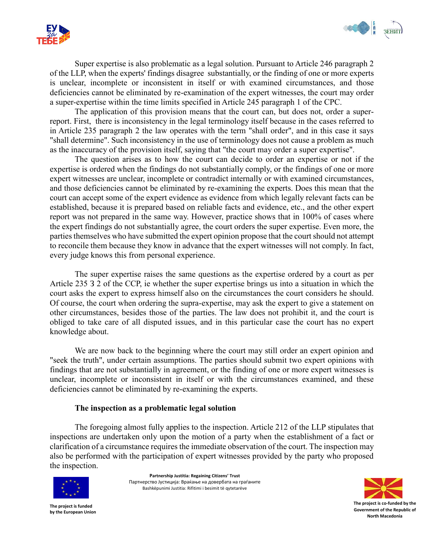



Super expertise is also problematic as a legal solution. Pursuant to Article 246 paragraph 2 of the LLP, when the experts' findings disagree substantially, or the finding of one or more experts is unclear, incomplete or inconsistent in itself or with examined circumstances, and those deficiencies cannot be eliminated by re-examination of the expert witnesses, the court may order a super-expertise within the time limits specified in Article 245 paragraph 1 of the CPC.

The application of this provision means that the court can, but does not, order a superreport. First, there is inconsistency in the legal terminology itself because in the cases referred to in Article 235 paragraph 2 the law operates with the term "shall order", and in this case it says "shall determine". Such inconsistency in the use of terminology does not cause a problem as much as the inaccuracy of the provision itself, saying that "the court may order a super expertise".

The question arises as to how the court can decide to order an expertise or not if the expertise is ordered when the findings do not substantially comply, or the findings of one or more expert witnesses are unclear, incomplete or contradict internally or with examined circumstances, and those deficiencies cannot be eliminated by re-examining the experts. Does this mean that the court can accept some of the expert evidence as evidence from which legally relevant facts can be established, because it is prepared based on reliable facts and evidence, etc., and the other expert report was not prepared in the same way. However, practice shows that in 100% of cases where the expert findings do not substantially agree, the court orders the super expertise. Even more, the parties themselves who have submitted the expert opinion propose that the court should not attempt to reconcile them because they know in advance that the expert witnesses will not comply. In fact, every judge knows this from personal experience.

The super expertise raises the same questions as the expertise ordered by a court as per Article 235 З 2 of the CCP, ie whether the super expertise brings us into a situation in which the court asks the expert to express himself also on the circumstances the court considers he should. Of course, the court when ordering the supra-expertise, may ask the expert to give a statement on other circumstances, besides those of the parties. The law does not prohibit it, and the court is obliged to take care of all disputed issues, and in this particular case the court has no expert knowledge about.

We are now back to the beginning where the court may still order an expert opinion and "seek the truth", under certain assumptions. The parties should submit two expert opinions with findings that are not substantially in agreement, or the finding of one or more expert witnesses is unclear, incomplete or inconsistent in itself or with the circumstances examined, and these deficiencies cannot be eliminated by re-examining the experts.

#### **The inspection as a problematic legal solution**

The foregoing almost fully applies to the inspection. Article 212 of the LLP stipulates that inspections are undertaken only upon the motion of a party when the establishment of a fact or clarification of a circumstance requires the immediate observation of the court. The inspection may also be performed with the participation of expert witnesses provided by the party who proposed the inspection.



**Partnership Justitia: Regaining Citizens' Trust** Партнерство Јустиција: Враќање на довербата на граѓаните Bashkëpunimi Justitia: Rifitimi i besimit të qytetarëve

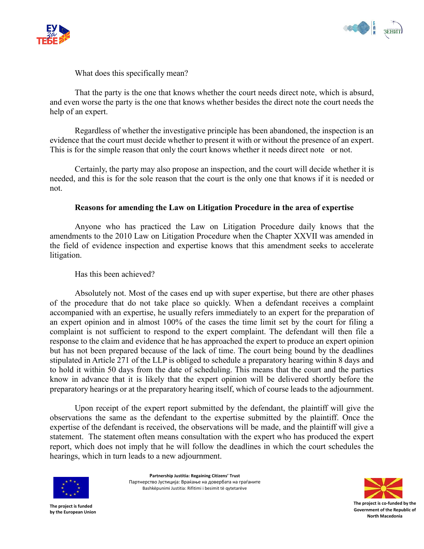



What does this specifically mean?

That the party is the one that knows whether the court needs direct note, which is absurd, and even worse the party is the one that knows whether besides the direct note the court needs the help of an expert.

Regardless of whether the investigative principle has been abandoned, the inspection is an evidence that the court must decide whether to present it with or without the presence of an expert. This is for the simple reason that only the court knows whether it needs direct note or not.

Certainly, the party may also propose an inspection, and the court will decide whether it is needed, and this is for the sole reason that the court is the only one that knows if it is needed or not.

#### **Reasons for amending the Law on Litigation Procedure in the area of expertise**

Anyone who has practiced the Law on Litigation Procedure daily knows that the amendments to the 2010 Law on Litigation Procedure when the Chapter XXVII was amended in the field of evidence inspection and expertise knows that this amendment seeks to accelerate litigation.

Has this been achieved?

Absolutely not. Most of the cases end up with super expertise, but there are other phases of the procedure that do not take place so quickly. When a defendant receives a complaint accompanied with an expertise, he usually refers immediately to an expert for the preparation of an expert opinion and in almost 100% of the cases the time limit set by the court for filing a complaint is not sufficient to respond to the expert complaint. The defendant will then file a response to the claim and evidence that he has approached the expert to produce an expert opinion but has not been prepared because of the lack of time. The court being bound by the deadlines stipulated in Article 271 of the LLP is obliged to schedule a preparatory hearing within 8 days and to hold it within 50 days from the date of scheduling. This means that the court and the parties know in advance that it is likely that the expert opinion will be delivered shortly before the preparatory hearings or at the preparatory hearing itself, which of course leads to the adjournment.

Upon receipt of the expert report submitted by the defendant, the plaintiff will give the observations the same as the defendant to the expertise submitted by the plaintiff. Once the expertise of the defendant is received, the observations will be made, and the plaintiff will give a statement. The statement often means consultation with the expert who has produced the expert report, which does not imply that he will follow the deadlines in which the court schedules the hearings, which in turn leads to a new adjournment.



**Partnership Justitia: Regaining Citizens' Trust** Партнерство Јустиција: Враќање на довербата на граѓаните Bashkëpunimi Justitia: Rifitimi i besimit të qytetarëve

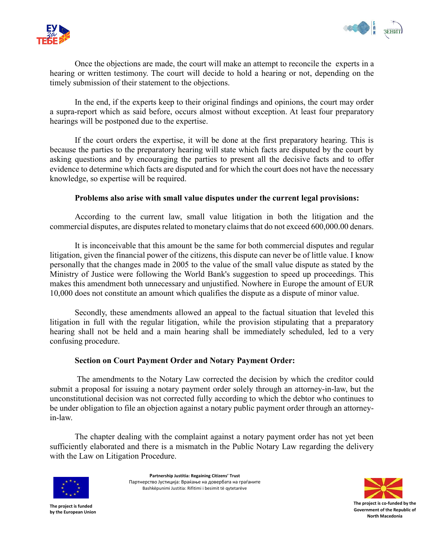



Once the objections are made, the court will make an attempt to reconcile the experts in a hearing or written testimony. The court will decide to hold a hearing or not, depending on the timely submission of their statement to the objections.

In the end, if the experts keep to their original findings and opinions, the court may order a supra-report which as said before, occurs almost without exception. At least four preparatory hearings will be postponed due to the expertise.

If the court orders the expertise, it will be done at the first preparatory hearing. This is because the parties to the preparatory hearing will state which facts are disputed by the court by asking questions and by encouraging the parties to present all the decisive facts and to offer evidence to determine which facts are disputed and for which the court does not have the necessary knowledge, so expertise will be required.

#### **Problems also arise with small value disputes under the current legal provisions:**

According to the current law, small value litigation in both the litigation and the commercial disputes, are disputes related to monetary claims that do not exceed 600,000.00 denars.

It is inconceivable that this amount be the same for both commercial disputes and regular litigation, given the financial power of the citizens, this dispute can never be of little value. I know personally that the changes made in 2005 to the value of the small value dispute as stated by the Ministry of Justice were following the World Bank's suggestion to speed up proceedings. This makes this amendment both unnecessary and unjustified. Nowhere in Europe the amount of EUR 10,000 does not constitute an amount which qualifies the dispute as a dispute of minor value.

Secondly, these amendments allowed an appeal to the factual situation that leveled this litigation in full with the regular litigation, while the provision stipulating that a preparatory hearing shall not be held and a main hearing shall be immediately scheduled, led to a very confusing procedure.

#### **Section on Court Payment Order and Notary Payment Order:**

The amendments to the Notary Law corrected the decision by which the creditor could submit a proposal for issuing a notary payment order solely through an attorney-in-law, but the unconstitutional decision was not corrected fully according to which the debtor who continues to be under obligation to file an objection against a notary public payment order through an attorneyin-law.

The chapter dealing with the complaint against a notary payment order has not yet been sufficiently elaborated and there is a mismatch in the Public Notary Law regarding the delivery with the Law on Litigation Procedure.



**Partnership Justitia: Regaining Citizens' Trust** Партнерство Јустиција: Враќање на довербата на граѓаните Bashkëpunimi Justitia: Rifitimi i besimit të qytetarëve